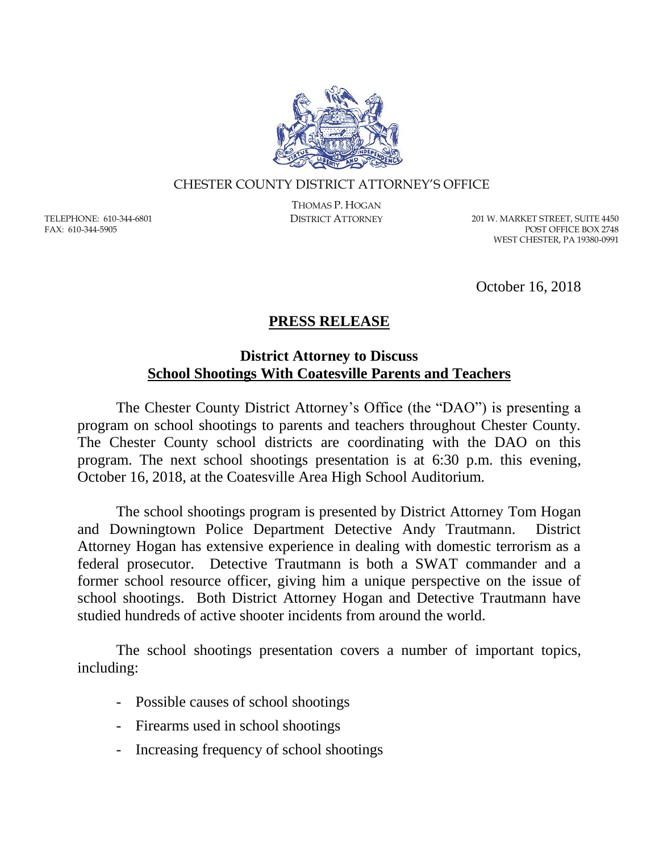

## CHESTER COUNTY DISTRICT ATTORNEY'S OFFICE

TELEPHONE: 610-344-6801 FAX: 610-344-5905

THOMAS P. HOGAN

DISTRICT ATTORNEY 201 W. MARKET STREET, SUITE 4450 POST OFFICE BOX 2748 WEST CHESTER, PA 19380-0991

October 16, 2018

## **PRESS RELEASE**

## **District Attorney to Discuss School Shootings With Coatesville Parents and Teachers**

The Chester County District Attorney's Office (the "DAO") is presenting a program on school shootings to parents and teachers throughout Chester County. The Chester County school districts are coordinating with the DAO on this program. The next school shootings presentation is at 6:30 p.m. this evening, October 16, 2018, at the Coatesville Area High School Auditorium.

The school shootings program is presented by District Attorney Tom Hogan and Downingtown Police Department Detective Andy Trautmann. District Attorney Hogan has extensive experience in dealing with domestic terrorism as a federal prosecutor. Detective Trautmann is both a SWAT commander and a former school resource officer, giving him a unique perspective on the issue of school shootings. Both District Attorney Hogan and Detective Trautmann have studied hundreds of active shooter incidents from around the world.

The school shootings presentation covers a number of important topics, including:

- Possible causes of school shootings
- Firearms used in school shootings
- Increasing frequency of school shootings